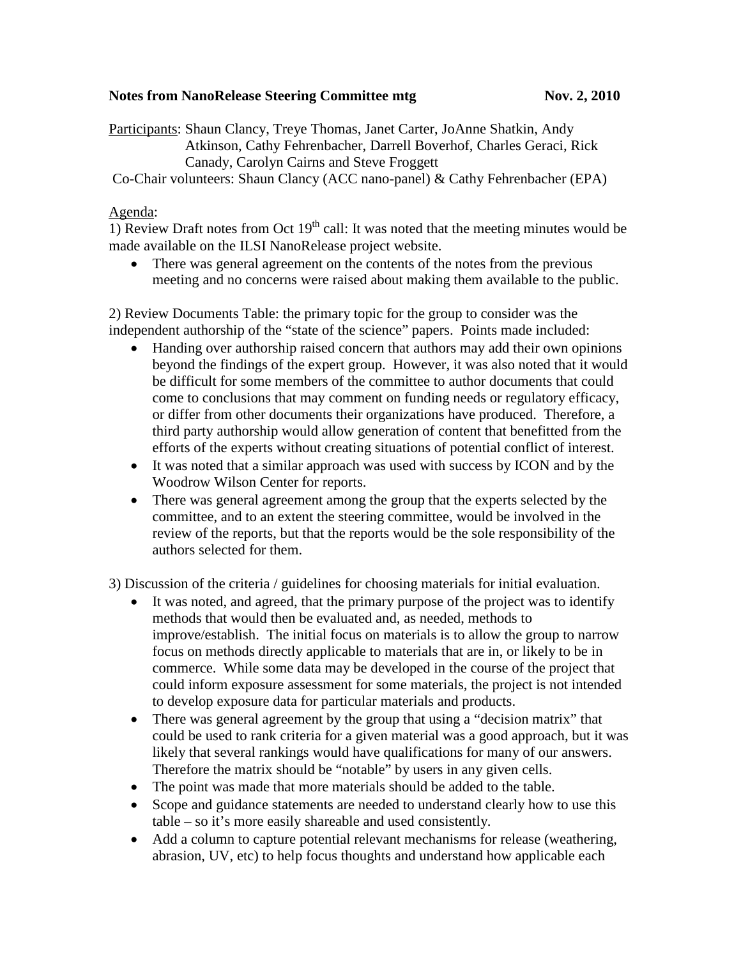## **Notes from NanoRelease Steering Committee mtg Nov. 2, 2010**

Participants: Shaun Clancy, Treye Thomas, Janet Carter, JoAnne Shatkin, Andy

Atkinson, Cathy Fehrenbacher, Darrell Boverhof, Charles Geraci, Rick Canady, Carolyn Cairns and Steve Froggett

Co-Chair volunteers: Shaun Clancy (ACC nano-panel) & Cathy Fehrenbacher (EPA)

## Agenda:

1) Review Draft notes from Oct  $19<sup>th</sup>$  call: It was noted that the meeting minutes would be made available on the ILSI NanoRelease project website.

• There was general agreement on the contents of the notes from the previous meeting and no concerns were raised about making them available to the public.

2) Review Documents Table: the primary topic for the group to consider was the independent authorship of the "state of the science" papers. Points made included:

- Handing over authorship raised concern that authors may add their own opinions beyond the findings of the expert group. However, it was also noted that it would be difficult for some members of the committee to author documents that could come to conclusions that may comment on funding needs or regulatory efficacy, or differ from other documents their organizations have produced. Therefore, a third party authorship would allow generation of content that benefitted from the efforts of the experts without creating situations of potential conflict of interest.
- It was noted that a similar approach was used with success by ICON and by the Woodrow Wilson Center for reports.
- There was general agreement among the group that the experts selected by the committee, and to an extent the steering committee, would be involved in the review of the reports, but that the reports would be the sole responsibility of the authors selected for them.

3) Discussion of the criteria / guidelines for choosing materials for initial evaluation.

- It was noted, and agreed, that the primary purpose of the project was to identify methods that would then be evaluated and, as needed, methods to improve/establish. The initial focus on materials is to allow the group to narrow focus on methods directly applicable to materials that are in, or likely to be in commerce. While some data may be developed in the course of the project that could inform exposure assessment for some materials, the project is not intended to develop exposure data for particular materials and products.
- There was general agreement by the group that using a "decision matrix" that could be used to rank criteria for a given material was a good approach, but it was likely that several rankings would have qualifications for many of our answers. Therefore the matrix should be "notable" by users in any given cells.
- The point was made that more materials should be added to the table.
- Scope and guidance statements are needed to understand clearly how to use this table – so it's more easily shareable and used consistently.
- Add a column to capture potential relevant mechanisms for release (weathering, abrasion, UV, etc) to help focus thoughts and understand how applicable each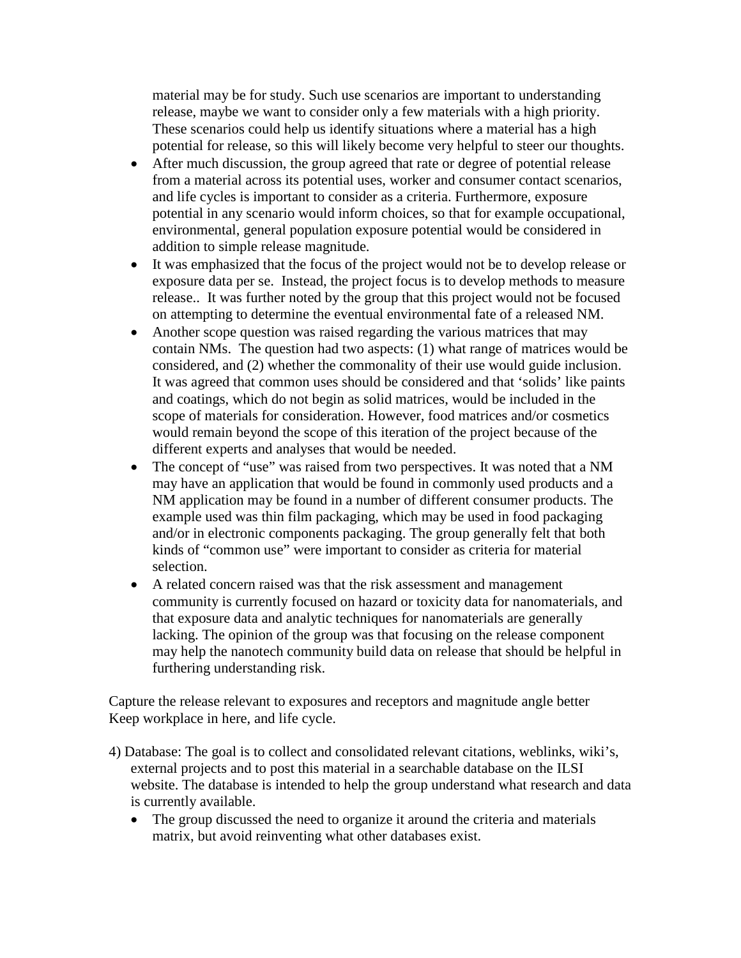material may be for study. Such use scenarios are important to understanding release, maybe we want to consider only a few materials with a high priority. These scenarios could help us identify situations where a material has a high potential for release, so this will likely become very helpful to steer our thoughts.

- After much discussion, the group agreed that rate or degree of potential release from a material across its potential uses, worker and consumer contact scenarios, and life cycles is important to consider as a criteria. Furthermore, exposure potential in any scenario would inform choices, so that for example occupational, environmental, general population exposure potential would be considered in addition to simple release magnitude.
- It was emphasized that the focus of the project would not be to develop release or exposure data per se. Instead, the project focus is to develop methods to measure release.. It was further noted by the group that this project would not be focused on attempting to determine the eventual environmental fate of a released NM.
- Another scope question was raised regarding the various matrices that may contain NMs. The question had two aspects: (1) what range of matrices would be considered, and (2) whether the commonality of their use would guide inclusion. It was agreed that common uses should be considered and that 'solids' like paints and coatings, which do not begin as solid matrices, would be included in the scope of materials for consideration. However, food matrices and/or cosmetics would remain beyond the scope of this iteration of the project because of the different experts and analyses that would be needed.
- The concept of "use" was raised from two perspectives. It was noted that a NM may have an application that would be found in commonly used products and a NM application may be found in a number of different consumer products. The example used was thin film packaging, which may be used in food packaging and/or in electronic components packaging. The group generally felt that both kinds of "common use" were important to consider as criteria for material selection.
- A related concern raised was that the risk assessment and management community is currently focused on hazard or toxicity data for nanomaterials, and that exposure data and analytic techniques for nanomaterials are generally lacking. The opinion of the group was that focusing on the release component may help the nanotech community build data on release that should be helpful in furthering understanding risk.

Capture the release relevant to exposures and receptors and magnitude angle better Keep workplace in here, and life cycle.

- 4) Database: The goal is to collect and consolidated relevant citations, weblinks, wiki's, external projects and to post this material in a searchable database on the ILSI website. The database is intended to help the group understand what research and data is currently available.
	- The group discussed the need to organize it around the criteria and materials matrix, but avoid reinventing what other databases exist.